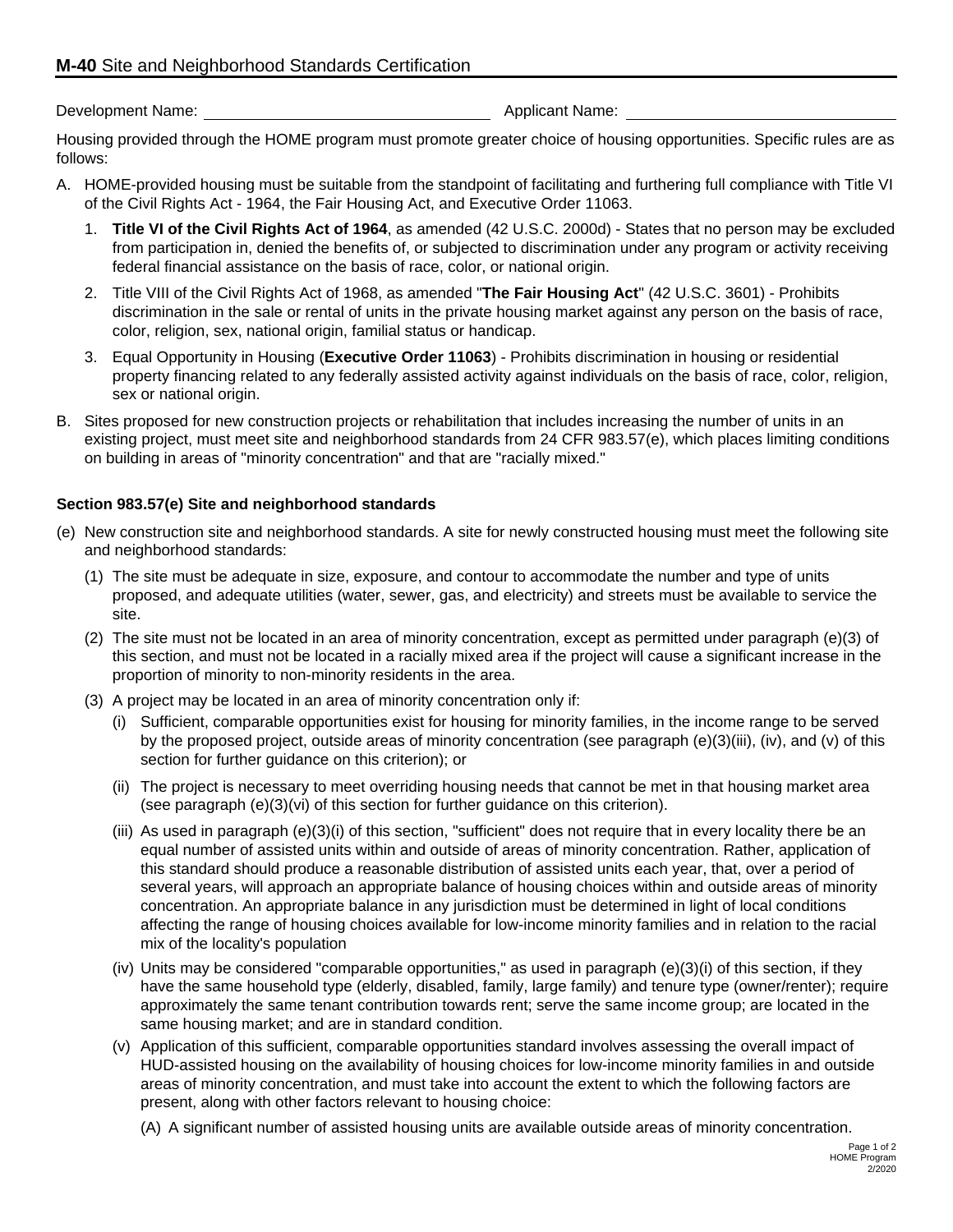Development Name:  $\blacksquare$ 

Housing provided through the HOME program must promote greater choice of housing opportunities. Specific rules are as follows:

- A. HOME-provided housing must be suitable from the standpoint of facilitating and furthering full compliance with Title VI of the Civil Rights Act - 1964, the Fair Housing Act, and Executive Order 11063.
	- 1. **Title VI of the Civil Rights Act of 1964**, as amended (42 U.S.C. 2000d) States that no person may be excluded from participation in, denied the benefits of, or subjected to discrimination under any program or activity receiving federal financial assistance on the basis of race, color, or national origin.
	- 2. Title VIII of the Civil Rights Act of 1968, as amended "**The Fair Housing Act**" (42 U.S.C. 3601) Prohibits discrimination in the sale or rental of units in the private housing market against any person on the basis of race, color, religion, sex, national origin, familial status or handicap.
	- 3. Equal Opportunity in Housing (**Executive Order 11063**) Prohibits discrimination in housing or residential property financing related to any federally assisted activity against individuals on the basis of race, color, religion, sex or national origin.
- B. Sites proposed for new construction projects or rehabilitation that includes increasing the number of units in an existing project, must meet site and neighborhood standards from 24 CFR 983.57(e), which places limiting conditions on building in areas of "minority concentration" and that are "racially mixed."

## **Section 983.57(e) Site and neighborhood standards**

- (e) New construction site and neighborhood standards. A site for newly constructed housing must meet the following site and neighborhood standards:
	- (1) The site must be adequate in size, exposure, and contour to accommodate the number and type of units proposed, and adequate utilities (water, sewer, gas, and electricity) and streets must be available to service the site.
	- (2) The site must not be located in an area of minority concentration, except as permitted under paragraph (e)(3) of this section, and must not be located in a racially mixed area if the project will cause a significant increase in the proportion of minority to non-minority residents in the area.
	- (3) A project may be located in an area of minority concentration only if:
		- (i) Sufficient, comparable opportunities exist for housing for minority families, in the income range to be served by the proposed project, outside areas of minority concentration (see paragraph (e)(3)(iii), (iv), and (v) of this section for further guidance on this criterion); or
		- (ii) The project is necessary to meet overriding housing needs that cannot be met in that housing market area (see paragraph (e)(3)(vi) of this section for further guidance on this criterion).
		- (iii) As used in paragraph (e)(3)(i) of this section, "sufficient" does not require that in every locality there be an equal number of assisted units within and outside of areas of minority concentration. Rather, application of this standard should produce a reasonable distribution of assisted units each year, that, over a period of several years, will approach an appropriate balance of housing choices within and outside areas of minority concentration. An appropriate balance in any jurisdiction must be determined in light of local conditions affecting the range of housing choices available for low-income minority families and in relation to the racial mix of the locality's population
		- (iv) Units may be considered "comparable opportunities," as used in paragraph (e)(3)(i) of this section, if they have the same household type (elderly, disabled, family, large family) and tenure type (owner/renter); require approximately the same tenant contribution towards rent; serve the same income group; are located in the same housing market; and are in standard condition.
		- (v) Application of this sufficient, comparable opportunities standard involves assessing the overall impact of HUD-assisted housing on the availability of housing choices for low-income minority families in and outside areas of minority concentration, and must take into account the extent to which the following factors are present, along with other factors relevant to housing choice:

(A) A significant number of assisted housing units are available outside areas of minority concentration.